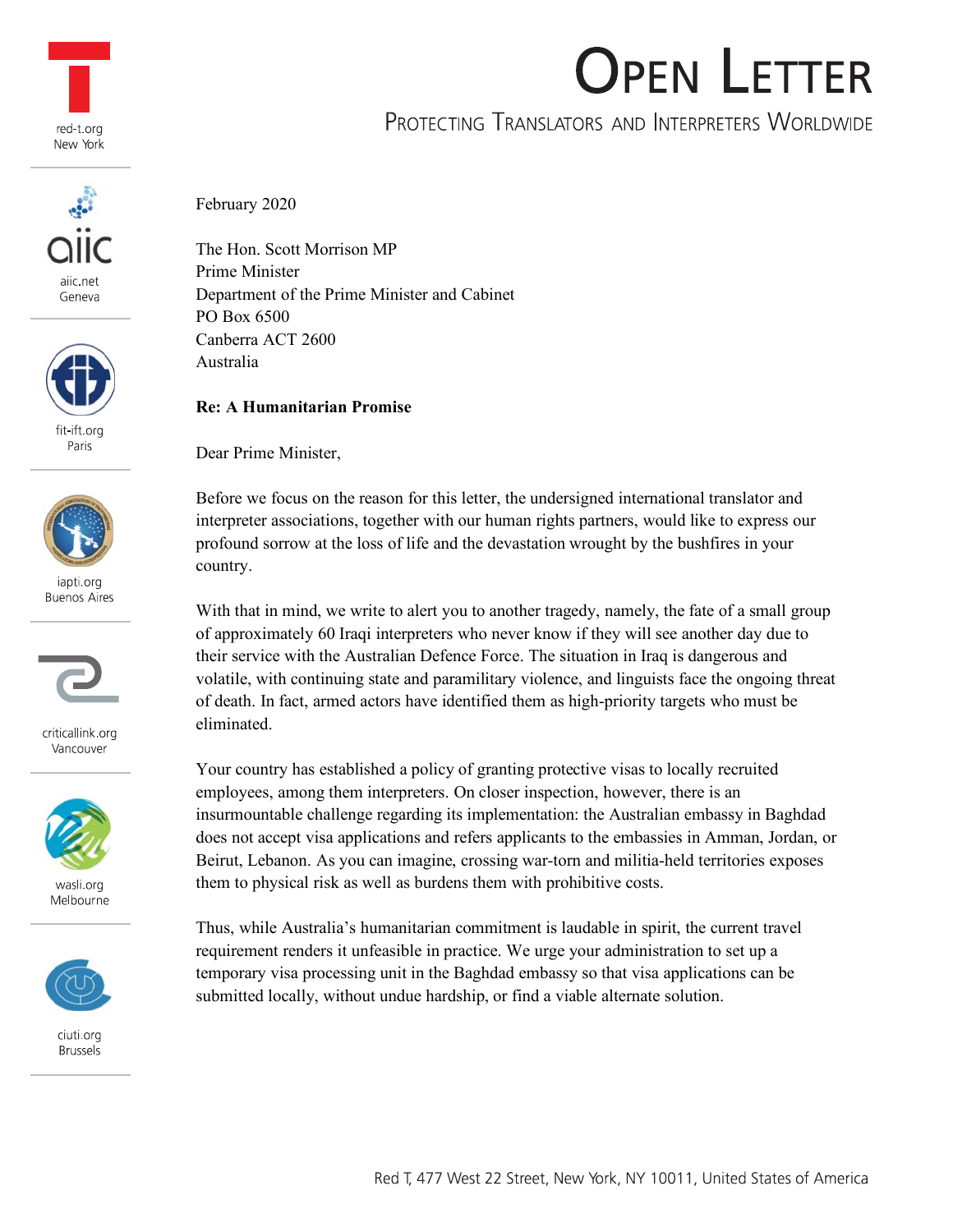





fit-ift.org Paris



iapti.org **Buenos Aires** 



criticallink.org Vancouver



wasli org Melbourne



ciuti.org **Brussels** 

### February 2020

The Hon. Scott Morrison MP Prime Minister Department of the Prime Minister and Cabinet PO Box 6500 Canberra ACT 2600 Australia

### **Re: A Humanitarian Promise**

Dear Prime Minister,

Before we focus on the reason for this letter, the undersigned international translator and interpreter associations, together with our human rights partners, would like to express our profound sorrow at the loss of life and the devastation wrought by the bushfires in your country.

With that in mind, we write to alert you to another tragedy, namely, the fate of a small group of approximately 60 Iraqi interpreters who never know if they will see another day due to their service with the Australian Defence Force. The situation in Iraq is dangerous and volatile, with continuing state and paramilitary violence, and linguists face the ongoing threat of death. In fact, armed actors have identified them as high-priority targets who must be eliminated.

Your country has established a policy of granting protective visas to locally recruited employees, among them interpreters. On closer inspection, however, there is an insurmountable challenge regarding its implementation: the Australian embassy in Baghdad does not accept visa applications and refers applicants to the embassies in Amman, Jordan, or Beirut, Lebanon. As you can imagine, crossing war-torn and militia-held territories exposes them to physical risk as well as burdens them with prohibitive costs.

Thus, while Australia's humanitarian commitment is laudable in spirit, the current travel requirement renders it unfeasible in practice. We urge your administration to set up a temporary visa processing unit in the Baghdad embassy so that visa applications can be submitted locally, without undue hardship, or find a viable alternate solution.

# **OPEN LETTER**

## PROTECTING TRANSLATORS AND INTERPRETERS WORLDWIDE